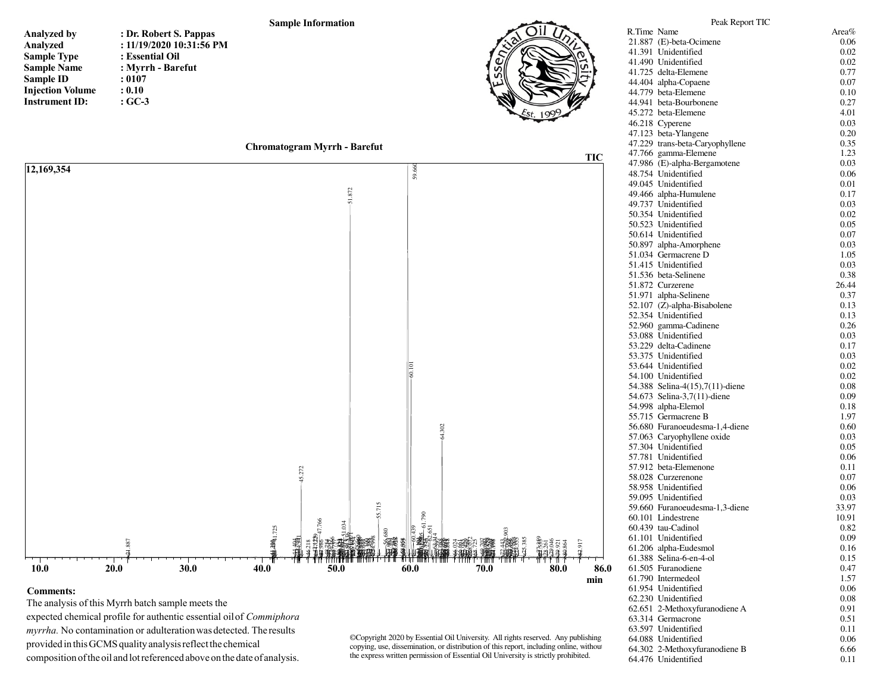## **Sample Information**

| <b>Analyzed by</b>      | ፡                    |
|-------------------------|----------------------|
| Analyzed                | $\ddot{\cdot}$       |
| <b>Sample Type</b>      | ፡                    |
| <b>Sample Name</b>      | $\ddot{\cdot}$       |
| <b>Sample ID</b>        | $\ddot{\cdot}$       |
| <b>Injection Volume</b> | $\ddot{\phantom{0}}$ |
| <b>Instrument ID:</b>   |                      |

**: Dr. Robert S. Pappas : 11/19/2020 10:31:56 PM: Essential Oil : Myrrh - Barefut: 0107 : 0.10: GC-3**







## **Comments:**

 The analysis of this Myrrh batch sample meets the expected chemical profile for authentic essential oil of*Commiphora myrrha.* No contamination or adulteration was detected. The results provided in this GCMS quality analysis reflect the chemical composition of the oil and lot referenced above on the date of analysis.

©Copyright 2020 by Essential Oil University. All rights reserved. Any publishing, copying, use, dissemination, or distribution of this report, including online, without the express written permission of Essential Oil University is strictly prohibited.

**min**

| 41.725 delta-Elemene                       | 0.77         |
|--------------------------------------------|--------------|
| 44.404 alpha-Copaene                       | 0.07         |
| 44.779 beta-Elemene                        | 0.10         |
| 44.941 heta-Bourbonene                     | 0.27         |
| 45.272 beta-Elemene                        | 4.01         |
| 46.218 Cyperene                            | 0.03         |
| 47.123 beta-Ylangene                       | 0.20         |
| 47.229 trans-beta-Caryophyllene            | 0.35         |
| 47.766 gamma-Elemene                       | 1.23         |
| 47.986 (E)-alpha-Bergamotene               | 0.03         |
| 48.754 Unidentified                        | 0.06         |
| 49.045 Unidentified                        | 0.01         |
| 49.466 alpha-Humulene                      | 0.17         |
| 49.737 Unidentified                        | 0.03         |
| 50.354 Unidentified                        | 0.02         |
| 50.523 Unidentified                        | 0.05         |
| 50.614 Unidentified                        | 0.07         |
| 50.897 alpha-Amorphene                     | 0.03         |
| 51.034 Germacrene D                        | 1.05         |
| 51.415 Unidentified                        | 0.03         |
| 51.536 beta-Selinene                       | 0.38         |
| 51.872 Curzerene                           | 26.44        |
| 51.971 alpha-Selinene                      | 0.37         |
| 52.107 (Z)-alpha-Bisabolene                | 0.13         |
| 52.354 Unidentified                        | 0.13         |
| 52.960 gamma-Cadinene                      | 0.26         |
| 53.088 Unidentified                        | 0.03         |
| 53.229 delta-Cadinene                      | 0.17         |
| 53.375 Unidentified                        | 0.03         |
| 53.644 Unidentified                        | 0.02         |
| 54.100 Unidentified                        | 0.02         |
| 54.388 Selina-4(15),7(11)-diene            | 0.08         |
| 54.673 Selina-3,7(11)-diene                | 0.09         |
| 54.998 alpha-Elemol                        | 0.18         |
| 55.715 Germacrene B                        | 1.97         |
| 56.680 Furanoeudesma-1,4-diene             | 0.60         |
| 57.063 Caryophyllene oxide                 | 0.03         |
| 57.304 Unidentified                        | 0.05         |
| 57.781 Unidentified                        | 0.06         |
| 57.912 beta-Elemenone                      | 0.11         |
| 58.028 Curzerenone                         | 0.07         |
| 58.958 Unidentified<br>59.095 Unidentified | 0.06         |
| 59.660 Furanoeudesma-1,3-diene             | 0.03         |
| 60.101 Lindestrene                         | 33.97        |
|                                            | 10.91        |
| 60.439 tau-Cadinol<br>61.101 Unidentified  | 0.82         |
| 61.206 alpha-Eudesmol                      | 0.09<br>0.16 |
| 61.388 Selina-6-en-4-ol                    | 0.15         |
| 61.505 Furanodiene                         | 0.47         |
| 61.790 Intermedeol                         | 1.57         |
| 61.954 Unidentified                        | 0.06         |
| 62.230 Unidentified                        | 0.08         |
| 62.651 2-Methoxyfuranodiene A              | 0.91         |
| 63.314 Germacrone                          | 0.51         |
| 63.597 Unidentified                        | 0.11         |
| 64.088 Unidentified                        | 0.06         |
| 64.302 2-Methoxyfuranodiene B              | 6.66         |
| 64.476 Unidentified                        | 0.11         |
|                                            |              |
|                                            |              |

Peak Report TICR.Time Name **Area**%

 $21.887$  (E)-beta-Ocimene

41.391 Unidentified

41.490 Unidentified

0.06

0.02

0.02